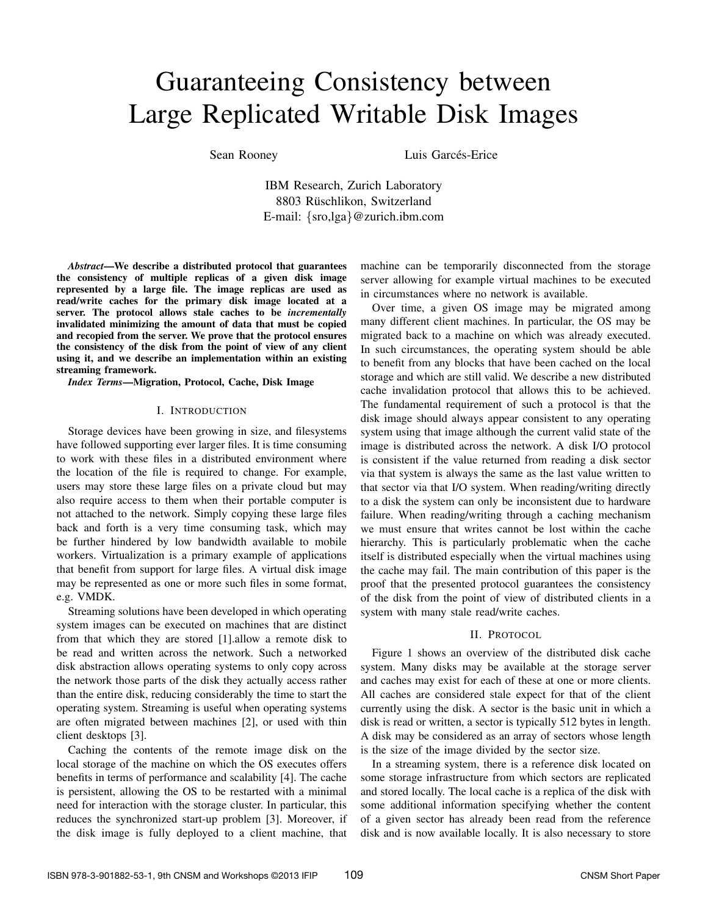# Guaranteeing Consistency between Large Replicated Writable Disk Images

Sean Rooney **Luis Garcés-Erice** 

IBM Research, Zurich Laboratory 8803 Rüschlikon, Switzerland E-mail: {sro,lga}@zurich.ibm.com

*Abstract*—We describe a distributed protocol that guarantees the consistency of multiple replicas of a given disk image represented by a large file. The image replicas are used as read/write caches for the primary disk image located at a server. The protocol allows stale caches to be *incrementally* invalidated minimizing the amount of data that must be copied and recopied from the server. We prove that the protocol ensures the consistency of the disk from the point of view of any client using it, and we describe an implementation within an existing streaming framework.

*Index Terms*—Migration, Protocol, Cache, Disk Image

#### I. INTRODUCTION

Storage devices have been growing in size, and filesystems have followed supporting ever larger files. It is time consuming to work with these files in a distributed environment where the location of the file is required to change. For example, users may store these large files on a private cloud but may also require access to them when their portable computer is not attached to the network. Simply copying these large files back and forth is a very time consuming task, which may be further hindered by low bandwidth available to mobile workers. Virtualization is a primary example of applications that benefit from support for large files. A virtual disk image may be represented as one or more such files in some format, e.g. VMDK.

Streaming solutions have been developed in which operating system images can be executed on machines that are distinct from that which they are stored [1].allow a remote disk to be read and written across the network. Such a networked disk abstraction allows operating systems to only copy across the network those parts of the disk they actually access rather than the entire disk, reducing considerably the time to start the operating system. Streaming is useful when operating systems are often migrated between machines [2], or used with thin client desktops [3].

Caching the contents of the remote image disk on the local storage of the machine on which the OS executes offers benefits in terms of performance and scalability [4]. The cache is persistent, allowing the OS to be restarted with a minimal need for interaction with the storage cluster. In particular, this reduces the synchronized start-up problem [3]. Moreover, if the disk image is fully deployed to a client machine, that

machine can be temporarily disconnected from the storage server allowing for example virtual machines to be executed in circumstances where no network is available.

Over time, a given OS image may be migrated among many different client machines. In particular, the OS may be migrated back to a machine on which was already executed. In such circumstances, the operating system should be able to benefit from any blocks that have been cached on the local storage and which are still valid. We describe a new distributed cache invalidation protocol that allows this to be achieved. The fundamental requirement of such a protocol is that the disk image should always appear consistent to any operating system using that image although the current valid state of the image is distributed across the network. A disk I/O protocol is consistent if the value returned from reading a disk sector via that system is always the same as the last value written to that sector via that I/O system. When reading/writing directly to a disk the system can only be inconsistent due to hardware failure. When reading/writing through a caching mechanism we must ensure that writes cannot be lost within the cache hierarchy. This is particularly problematic when the cache itself is distributed especially when the virtual machines using the cache may fail. The main contribution of this paper is the proof that the presented protocol guarantees the consistency of the disk from the point of view of distributed clients in a system with many stale read/write caches.

#### II. PROTOCOL

Figure 1 shows an overview of the distributed disk cache system. Many disks may be available at the storage server and caches may exist for each of these at one or more clients. All caches are considered stale expect for that of the client currently using the disk. A sector is the basic unit in which a disk is read or written, a sector is typically 512 bytes in length. A disk may be considered as an array of sectors whose length is the size of the image divided by the sector size.

In a streaming system, there is a reference disk located on some storage infrastructure from which sectors are replicated and stored locally. The local cache is a replica of the disk with some additional information specifying whether the content of a given sector has already been read from the reference disk and is now available locally. It is also necessary to store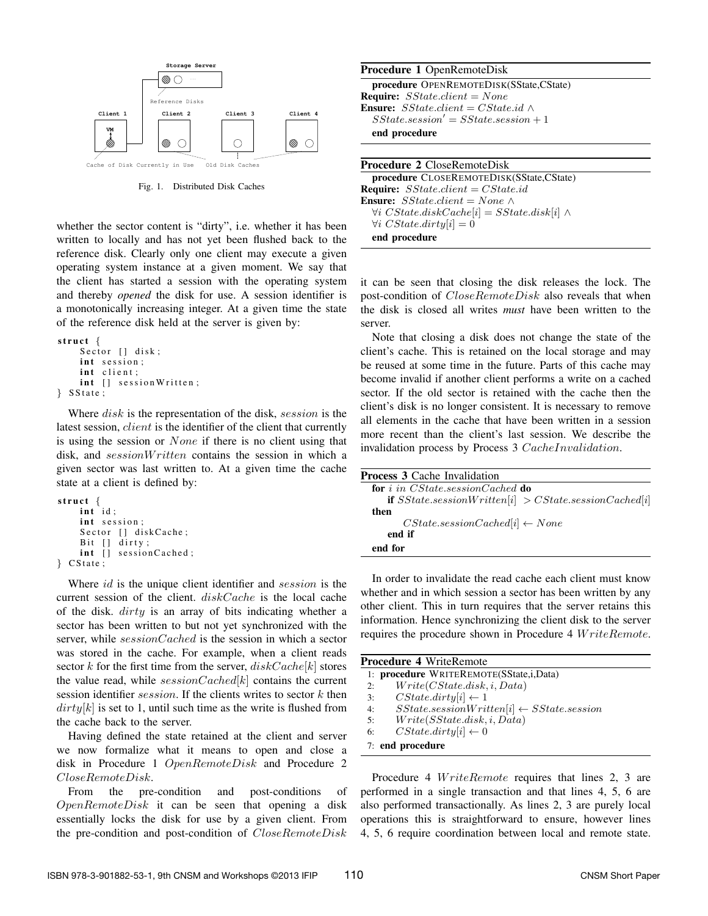

Fig. 1. Distributed Disk Caches

whether the sector content is "dirty", i.e. whether it has been written to locally and has not yet been flushed back to the reference disk. Clearly only one client may execute a given operating system instance at a given moment. We say that the client has started a session with the operating system and thereby *opened* the disk for use. A session identifier is a monotonically increasing integer. At a given time the state of the reference disk held at the server is given by:

```
struct \{Sector [] disk;
    int session;
    int client;
    int [] session Written;
} S S tate;
```
Where *disk* is the representation of the disk, *session* is the latest session, *client* is the identifier of the client that currently is using the session or None if there is no client using that disk, and sessionW ritten contains the session in which a given sector was last written to. At a given time the cache state at a client is defined by:

```
struct \{int id:
    int session;
    Sector [] diskCache;
    Bit [] dirty;
    int [] sessionCached;
} CState;
```
Where id is the unique client identifier and session is the current session of the client. diskCache is the local cache of the disk. dirty is an array of bits indicating whether a sector has been written to but not yet synchronized with the server, while  $sessionCache$  is the session in which a sector was stored in the cache. For example, when a client reads sector k for the first time from the server,  $diskCache[k]$  stores the value read, while  $sessionCached[k]$  contains the current session identifier *session*. If the clients writes to sector k then  $dirty[k]$  is set to 1, until such time as the write is flushed from the cache back to the server.

Having defined the state retained at the client and server we now formalize what it means to open and close a disk in Procedure 1 OpenRemoteDisk and Procedure 2 CloseRemoteDisk.

From the pre-condition and post-conditions of  $OpenRemoteDisk$  it can be seen that opening a disk essentially locks the disk for use by a given client. From the pre-condition and post-condition of CloseRemoteDisk

# Procedure 1 OpenRemoteDisk procedure OPENREMOTEDISK(SState,CState) **Require:**  $SState$ .client = None Ensure:  $SState$ .client =  $CState.id \wedge$  $SState.session' = SState.session + 1$ end procedure

Procedure 2 CloseRemoteDisk procedure CLOSEREMOTEDISK(SState,CState) **Require:**  $SState$ .client =  $CState$ .id Ensure:  $SState$ .client = None  $\wedge$  $\forall i \; CState\mathit{.diskCache}[i] = SState\mathit{.disk}[i] \land$  $\forall i \; CState.dirty[i] = 0$ end procedure

it can be seen that closing the disk releases the lock. The post-condition of *CloseRemoteDisk* also reveals that when the disk is closed all writes *must* have been written to the server.

Note that closing a disk does not change the state of the client's cache. This is retained on the local storage and may be reused at some time in the future. Parts of this cache may become invalid if another client performs a write on a cached sector. If the old sector is retained with the cache then the client's disk is no longer consistent. It is necessary to remove all elements in the cache that have been written in a session more recent than the client's last session. We describe the invalidation process by Process 3 CacheInvalidation.

| <b>Process 3</b> Cache Invalidation                           |
|---------------------------------------------------------------|
| <b>for</b> i in $CState. sessionCached$ <b>do</b>             |
| <b>if</b> $SState.sessionWriter[i] > CState.sessionCached[i]$ |
| then                                                          |
| $CState. sessionCached[i] \leftarrow None$                    |
| end if                                                        |
| end for                                                       |

In order to invalidate the read cache each client must know whether and in which session a sector has been written by any other client. This in turn requires that the server retains this information. Hence synchronizing the client disk to the server requires the procedure shown in Procedure 4 W riteRemote.

| <b>Procedure 4 WriteRemote</b> |                                                     |  |
|--------------------------------|-----------------------------------------------------|--|
|                                | 1: procedure WRITEREMOTE(SState,i,Data)             |  |
| 2:                             | Write(CState.disk, i, Data)                         |  |
| 3:                             | $CState.dirty[i] \leftarrow 1$                      |  |
| 4:                             | $SState.sessionWriter[i] \leftarrow SState.session$ |  |
| 5:                             | $Write(SState\cdot disk, i, Data)$                  |  |
| 6:                             | $CState.dirty[i] \leftarrow 0$                      |  |
|                                | 7: end procedure                                    |  |

Procedure 4 *WriteRemote* requires that lines 2, 3 are performed in a single transaction and that lines 4, 5, 6 are also performed transactionally. As lines 2, 3 are purely local operations this is straightforward to ensure, however lines 4, 5, 6 require coordination between local and remote state.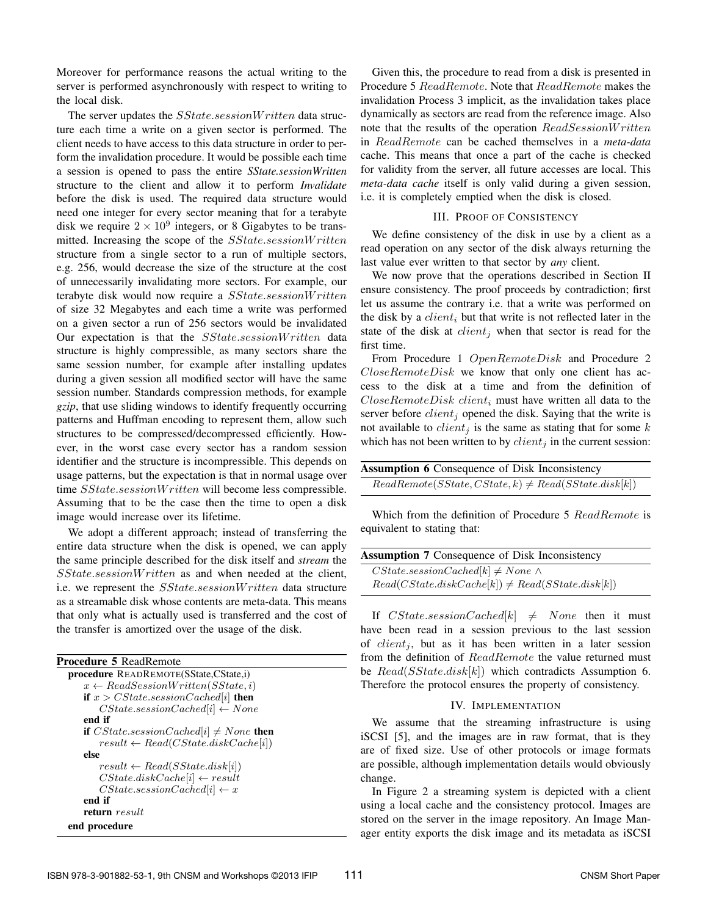Moreover for performance reasons the actual writing to the server is performed asynchronously with respect to writing to the local disk.

The server updates the  $SState. session Written$  data structure each time a write on a given sector is performed. The client needs to have access to this data structure in order to perform the invalidation procedure. It would be possible each time a session is opened to pass the entire *SState.sessionWritten* structure to the client and allow it to perform *Invalidate* before the disk is used. The required data structure would need one integer for every sector meaning that for a terabyte disk we require  $2 \times 10^9$  integers, or 8 Gigabytes to be transmitted. Increasing the scope of the SState.sessionWritten structure from a single sector to a run of multiple sectors, e.g. 256, would decrease the size of the structure at the cost of unnecessarily invalidating more sectors. For example, our terabyte disk would now require a SState.sessionW ritten of size 32 Megabytes and each time a write was performed on a given sector a run of 256 sectors would be invalidated Our expectation is that the SState.sessionWritten data structure is highly compressible, as many sectors share the same session number, for example after installing updates during a given session all modified sector will have the same session number. Standards compression methods, for example *gzip*, that use sliding windows to identify frequently occurring patterns and Huffman encoding to represent them, allow such structures to be compressed/decompressed efficiently. However, in the worst case every sector has a random session identifier and the structure is incompressible. This depends on usage patterns, but the expectation is that in normal usage over time  $SState.sessionWriter$  will become less compressible. Assuming that to be the case then the time to open a disk image would increase over its lifetime.

We adopt a different approach; instead of transferring the entire data structure when the disk is opened, we can apply the same principle described for the disk itself and *stream* the SState.sessionW ritten as and when needed at the client, i.e. we represent the *SState.sessionWritten* data structure as a streamable disk whose contents are meta-data. This means that only what is actually used is transferred and the cost of the transfer is amortized over the usage of the disk.

| <b>Procedure 5 ReadRemote</b>                      |
|----------------------------------------------------|
| procedure READREMOTE(SState, CState, i)            |
| $x \leftarrow ReadSession Written(SState, i)$      |
| if $x > CState. sessionCached[i]$ then             |
| $CState. session Cached[i] \leftarrow None$        |
| end if                                             |
| <b>if</b> CState.sessionCached[i] $\neq$ None then |
| $result \leftarrow Read(CState.diskCache[i])$      |
| else                                               |
| $result \leftarrow Read(SState.disk[i])$           |
| $CState\mathit{.diskCache}[i] \leftarrow result$   |
| $CState. sessionCached[i] \leftarrow x$            |
| end if                                             |
| return result                                      |
| end procedure                                      |

Given this, the procedure to read from a disk is presented in Procedure 5 ReadRemote. Note that ReadRemote makes the invalidation Process 3 implicit, as the invalidation takes place dynamically as sectors are read from the reference image. Also note that the results of the operation ReadSessionWritten in ReadRemote can be cached themselves in a *meta-data* cache. This means that once a part of the cache is checked for validity from the server, all future accesses are local. This *meta-data cache* itself is only valid during a given session, i.e. it is completely emptied when the disk is closed.

### III. PROOF OF CONSISTENCY

We define consistency of the disk in use by a client as a read operation on any sector of the disk always returning the last value ever written to that sector by *any* client.

We now prove that the operations described in Section II ensure consistency. The proof proceeds by contradiction; first let us assume the contrary i.e. that a write was performed on the disk by a  $client_i$  but that write is not reflected later in the state of the disk at  $client_i$  when that sector is read for the first time.

From Procedure 1 OpenRemoteDisk and Procedure 2  $CloseRemoteDisk$  we know that only one client has access to the disk at a time and from the definition of  $CloseRemoteDisk client$ ; must have written all data to the server before  $client_i$  opened the disk. Saying that the write is not available to *client<sub>i</sub>* is the same as stating that for some  $k$ which has not been written to by  $client_i$  in the current session:

| <b>Assumption 6 Consequence of Disk Inconsistency</b>      |  |
|------------------------------------------------------------|--|
| $ReadRemote(SState, CState, k) \neq Read(SState, disk[k])$ |  |

Which from the definition of Procedure 5 ReadRemote is equivalent to stating that:

| <b>Assumption 7 Consequence of Disk Inconsistency</b> |  |
|-------------------------------------------------------|--|
| $CState. sessionCached[k] \neq None \wedge$           |  |
| $Read(CState.diskCache[k]) \neq Read(SState.disk[k])$ |  |

If  $CState. sessionCached[k] \neq None$  then it must have been read in a session previous to the last session of  $client_i$ , but as it has been written in a later session from the definition of  $ReadRemote$  the value returned must be  $Read(SState.disk[k])$  which contradicts Assumption 6. Therefore the protocol ensures the property of consistency.

# IV. IMPLEMENTATION

We assume that the streaming infrastructure is using iSCSI [5], and the images are in raw format, that is they are of fixed size. Use of other protocols or image formats are possible, although implementation details would obviously change.

In Figure 2 a streaming system is depicted with a client using a local cache and the consistency protocol. Images are stored on the server in the image repository. An Image Manager entity exports the disk image and its metadata as iSCSI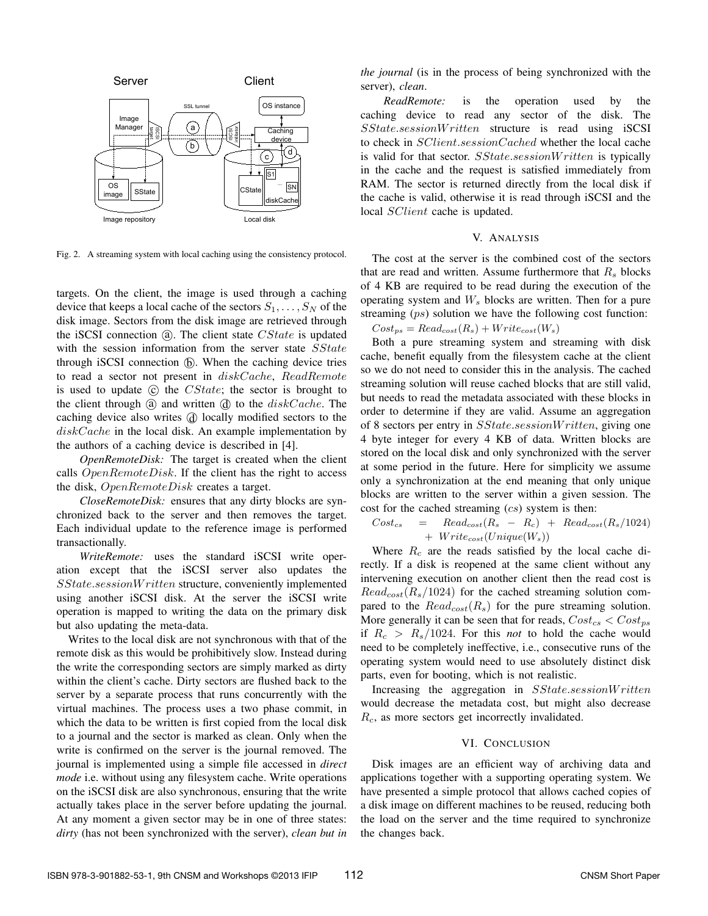

Fig. 2. A streaming system with local caching using the consistency protocol.

targets. On the client, the image is used through a caching device that keeps a local cache of the sectors  $S_1, \ldots, S_N$  of the disk image. Sectors from the disk image are retrieved through the iSCSI connection  $(a)$ . The client state  $CState$  is updated with the session information from the server state SState through iSCSI connection  $(6)$ . When the caching device tries to read a sector not present in diskCache, ReadRemote is used to update  $\odot$  the *CState*; the sector is brought to the client through  $\alpha$  and written  $\alpha$  to the  $diskCache$ . The caching device also writes (d) locally modified sectors to the  $diskCache$  in the local disk. An example implementation by the authors of a caching device is described in [4].

*OpenRemoteDisk:* The target is created when the client calls  $OpenRemoteDisk$ . If the client has the right to access the disk, *OpenRemoteDisk* creates a target.

*CloseRemoteDisk:* ensures that any dirty blocks are synchronized back to the server and then removes the target. Each individual update to the reference image is performed transactionally.

*WriteRemote:* uses the standard iSCSI write operation except that the iSCSI server also updates the SState.sessionW ritten structure, conveniently implemented using another iSCSI disk. At the server the iSCSI write operation is mapped to writing the data on the primary disk but also updating the meta-data.

Writes to the local disk are not synchronous with that of the remote disk as this would be prohibitively slow. Instead during the write the corresponding sectors are simply marked as dirty within the client's cache. Dirty sectors are flushed back to the server by a separate process that runs concurrently with the virtual machines. The process uses a two phase commit, in which the data to be written is first copied from the local disk to a journal and the sector is marked as clean. Only when the write is confirmed on the server is the journal removed. The journal is implemented using a simple file accessed in *direct mode* i.e. without using any filesystem cache. Write operations on the iSCSI disk are also synchronous, ensuring that the write actually takes place in the server before updating the journal. At any moment a given sector may be in one of three states: *dirty* (has not been synchronized with the server), *clean but in* *the journal* (is in the process of being synchronized with the server), *clean*.

*ReadRemote:* is the operation used by the caching device to read any sector of the disk. The SState.sessionW ritten structure is read using iSCSI to check in SClient.sessionCached whether the local cache is valid for that sector. SState.sessionW ritten is typically in the cache and the request is satisfied immediately from RAM. The sector is returned directly from the local disk if the cache is valid, otherwise it is read through iSCSI and the local *SClient* cache is updated.

#### V. ANALYSIS

The cost at the server is the combined cost of the sectors that are read and written. Assume furthermore that  $R_s$  blocks of 4 KB are required to be read during the execution of the operating system and  $W_s$  blocks are written. Then for a pure streaming (*ps*) solution we have the following cost function:

 $Cost_{ps} = Read_{cost}(R_s) + Write_{cost}(W_s)$ 

Both a pure streaming system and streaming with disk cache, benefit equally from the filesystem cache at the client so we do not need to consider this in the analysis. The cached streaming solution will reuse cached blocks that are still valid, but needs to read the metadata associated with these blocks in order to determine if they are valid. Assume an aggregation of 8 sectors per entry in  $SState.sessionWriter$ , giving one 4 byte integer for every 4 KB of data. Written blocks are stored on the local disk and only synchronized with the server at some period in the future. Here for simplicity we assume only a synchronization at the end meaning that only unique blocks are written to the server within a given session. The cost for the cached streaming  $(cs)$  system is then:

$$
Cost_{cs} = Read_{cost}(R_s - R_c) + Read_{cost}(R_s/1024) + Write_{cost}(Unique(W_s))
$$

Where  $R_c$  are the reads satisfied by the local cache directly. If a disk is reopened at the same client without any intervening execution on another client then the read cost is  $Read_{cost}(R_s/1024)$  for the cached streaming solution compared to the  $Read_{cost}(R_s)$  for the pure streaming solution. More generally it can be seen that for reads,  $Cost_{cs} < Cost_{ps}$ if  $R_c > R_s/1024$ . For this *not* to hold the cache would need to be completely ineffective, i.e., consecutive runs of the operating system would need to use absolutely distinct disk parts, even for booting, which is not realistic.

Increasing the aggregation in SState.sessionWritten would decrease the metadata cost, but might also decrease  $R_c$ , as more sectors get incorrectly invalidated.

## VI. CONCLUSION

Disk images are an efficient way of archiving data and applications together with a supporting operating system. We have presented a simple protocol that allows cached copies of a disk image on different machines to be reused, reducing both the load on the server and the time required to synchronize the changes back.